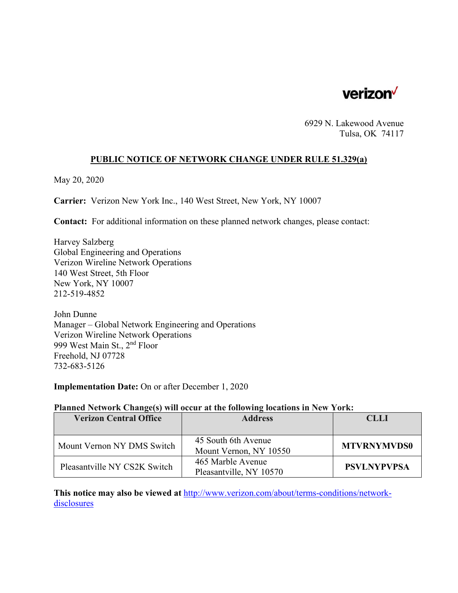

6929 N. Lakewood Avenue Tulsa, OK 74117

## **PUBLIC NOTICE OF NETWORK CHANGE UNDER RULE 51.329(a)**

May 20, 2020

**Carrier:** Verizon New York Inc., 140 West Street, New York, NY 10007

**Contact:** For additional information on these planned network changes, please contact:

Harvey Salzberg Global Engineering and Operations Verizon Wireline Network Operations 140 West Street, 5th Floor New York, NY 10007 212-519-4852

John Dunne Manager – Global Network Engineering and Operations Verizon Wireline Network Operations 999 West Main St., 2nd Floor Freehold, NJ 07728 732-683-5126

**Implementation Date:** On or after December 1, 2020

#### **Planned Network Change(s) will occur at the following locations in New York:**

| <b>Verizon Central Office</b> | <b>Address</b>                                | <b>CLLI</b>        |
|-------------------------------|-----------------------------------------------|--------------------|
|                               |                                               |                    |
| Mount Vernon NY DMS Switch    | 45 South 6th Avenue<br>Mount Vernon, NY 10550 | <b>MTVRNYMVDS0</b> |
| Pleasantville NY CS2K Switch  | 465 Marble Avenue<br>Pleasantville, NY 10570  | <b>PSVLNYPVPSA</b> |

**This notice may also be viewed at** http://www.verizon.com/about/terms-conditions/networkdisclosures